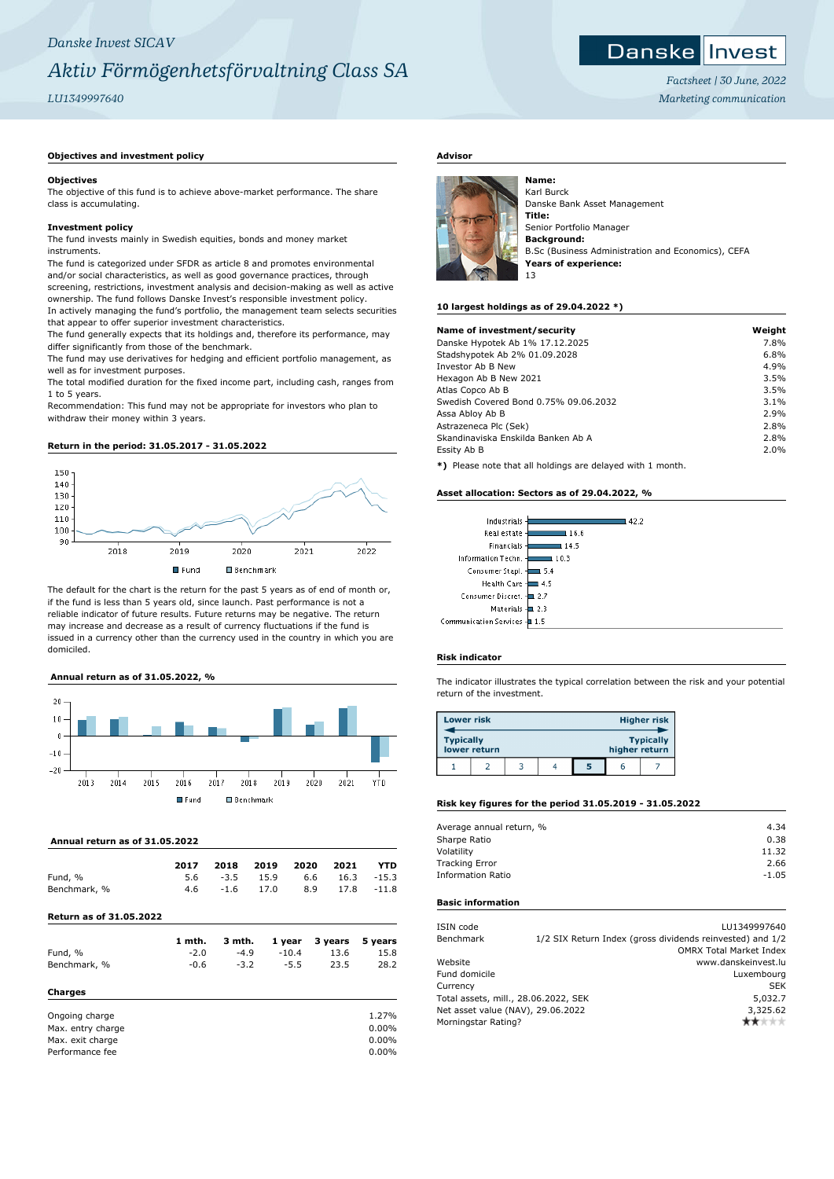# *Danske Invest SICAV Aktiv Förmögenhetsförvaltning Class SA*

# *LU1349997640*

## **Objectives and investment policy**

### **Objectives**

The objective of this fund is to achieve above-market performance. The share class is accumulating.

### **Investment policy**

The fund invests mainly in Swedish equities, bonds and money market instruments.

The fund is categorized under SFDR as article 8 and promotes environmental and/or social characteristics, as well as good governance practices, through screening, restrictions, investment analysis and decision-making as well as active ownership. The fund follows Danske Invest's responsible investment policy. In actively managing the fund's portfolio, the management team selects securities that appear to offer superior investment characteristics.

The fund generally expects that its holdings and, therefore its performance, may differ significantly from those of the benchmark.

The fund may use derivatives for hedging and efficient portfolio management, as well as for investment purposes.

The total modified duration for the fixed income part, including cash, ranges from 1 to 5 years.

Recommendation: This fund may not be appropriate for investors who plan to withdraw their money within 3 years.

#### **Return in the period: 31.05.2017 - 31.05.2022**



The default for the chart is the return for the past 5 years as of end of month or, if the fund is less than 5 years old, since launch. Past performance is not a reliable indicator of future results. Future returns may be negative. The return may increase and decrease as a result of currency fluctuations if the fund is issued in a currency other than the currency used in the country in which you are domiciled.

## **Annual return as of 31.05.2022, %**



### **Annual return as of 31.05.2022**

|              | 2017 |                       | 2018 2019 2020 2021 |                      | <b>YTD</b> |
|--------------|------|-----------------------|---------------------|----------------------|------------|
| Fund, %      |      | $5.6 \t -3.5 \t 15.9$ |                     | $6.6$ $16.3$ $-15.3$ |            |
| Benchmark, % | 4.6  | $-1.6$ 17.0           |                     | 8.9 17.8 -11.8       |            |

## **Return as of 31.05.2022**

|              | 1 mth. |        |         | 3 mth. 1 year 3 years 5 years |      |
|--------------|--------|--------|---------|-------------------------------|------|
| Fund, %      | $-2.0$ | $-4.9$ | $-10.4$ | 13.6                          | 15.8 |
| Benchmark, % | -0.6   | $-3.2$ | $-5.5$  | 23.5                          | 28.2 |
|              |        |        |         |                               |      |

## **Charges**

| Ongoing charge    | 1.27%    |
|-------------------|----------|
| Max. entry charge | $0.00\%$ |
| Max. exit charge  | $0.00\%$ |
| Performance fee   | $0.00\%$ |

## **Advisor**



Karl Burck Danske Bank Asset Management **Title:** Senior Portfolio Manager **Background:** B.Sc (Business Administration and Economics), CEFA **Years of experience:** 13

#### **10 largest holdings as of 29.04.2022 \*)**

| Name of investment/security                                               | Weight |
|---------------------------------------------------------------------------|--------|
|                                                                           | 7.8%   |
| Danske Hypotek Ab 1% 17.12.2025                                           |        |
| Stadshypotek Ab 2% 01.09.2028                                             | 6.8%   |
| Investor Ab B New                                                         | 4.9%   |
| Hexagon Ab B New 2021                                                     | 3.5%   |
| Atlas Copco Ab B                                                          | 3.5%   |
| Swedish Covered Bond 0.75% 09.06.2032                                     | 3.1%   |
| Assa Abloy Ab B                                                           | 2.9%   |
| Astrazeneca Plc (Sek)                                                     | 2.8%   |
| Skandinaviska Enskilda Banken Ab A                                        | 2.8%   |
| Essity Ab B                                                               | 2.0%   |
| ◆\ Discoso productional political constabilities of control of production |        |

**\*)** Please note that all holdings are delayed with 1 month.

#### **Asset allocation: Sectors as of 29.04.2022, %**

| Industrials                  | 42.2 |
|------------------------------|------|
| Real estate -                | 16.6 |
| Financials-                  | 14.5 |
| Information Techn. -         | 10.3 |
| Consumer Stapl.              | .5.4 |
| Health Care -                | 4.5  |
| Consumer Discret. - 2.7      |      |
| Materials $\pm$ 2.3          |      |
| Communication Services - 1.5 |      |

### **Risk indicator**

The indicator illustrates the typical correlation between the risk and your potential return of the investment.

| <b>Lower risk</b> |              |  |   |               | <b>Higher risk</b> |
|-------------------|--------------|--|---|---------------|--------------------|
| <b>Typically</b>  | lower return |  |   | higher return | <b>Typically</b>   |
|                   |              |  | 5 | r             |                    |

## **Risk key figures for the period 31.05.2019 - 31.05.2022**

| Average annual return, % | 4.34    |
|--------------------------|---------|
| Sharpe Ratio             | 0.38    |
| Volatility               | 11.32   |
| <b>Tracking Error</b>    | 2.66    |
| <b>Information Ratio</b> | $-1.05$ |
|                          |         |

## **Basic information**

| ISIN code                            | LU1349997640                                              |
|--------------------------------------|-----------------------------------------------------------|
| Benchmark                            | 1/2 SIX Return Index (gross dividends reinvested) and 1/2 |
|                                      | <b>OMRX Total Market Index</b>                            |
| Website                              | www.danskeinvest.lu                                       |
| Fund domicile                        | Luxembourg                                                |
| Currency                             | <b>SEK</b>                                                |
| Total assets, mill., 28.06.2022, SEK | 5,032.7                                                   |
| Net asset value (NAV), 29.06.2022    | 3,325.62                                                  |
| Morningstar Rating?                  |                                                           |
|                                      |                                                           |



*Factsheet | 30 June, 2022 Marketing communication*